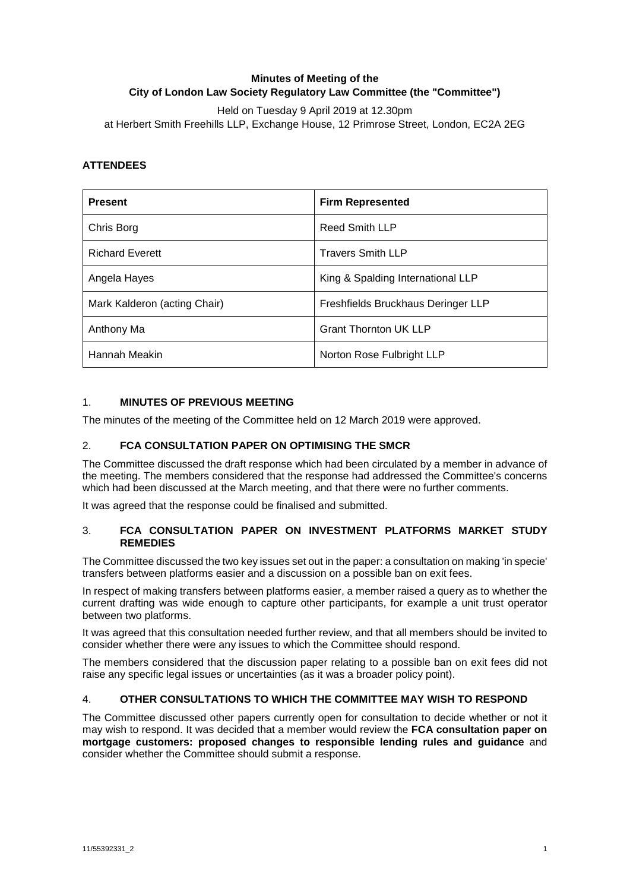# **Minutes of Meeting of the City of London Law Society Regulatory Law Committee (the "Committee")**

Held on Tuesday 9 April 2019 at 12.30pm at Herbert Smith Freehills LLP, Exchange House, 12 Primrose Street, London, EC2A 2EG

## **ATTENDEES**

| <b>Present</b>               | <b>Firm Represented</b>            |
|------------------------------|------------------------------------|
| Chris Borg                   | Reed Smith LLP                     |
| <b>Richard Everett</b>       | <b>Travers Smith LLP</b>           |
| Angela Hayes                 | King & Spalding International LLP  |
| Mark Kalderon (acting Chair) | Freshfields Bruckhaus Deringer LLP |
| Anthony Ma                   | <b>Grant Thornton UK LLP</b>       |
| Hannah Meakin                | Norton Rose Fulbright LLP          |

### 1. **MINUTES OF PREVIOUS MEETING**

The minutes of the meeting of the Committee held on 12 March 2019 were approved.

### 2. **FCA CONSULTATION PAPER ON OPTIMISING THE SMCR**

The Committee discussed the draft response which had been circulated by a member in advance of the meeting. The members considered that the response had addressed the Committee's concerns which had been discussed at the March meeting, and that there were no further comments.

It was agreed that the response could be finalised and submitted.

### 3. **FCA CONSULTATION PAPER ON INVESTMENT PLATFORMS MARKET STUDY REMEDIES**

The Committee discussed the two key issues set out in the paper: a consultation on making 'in specie' transfers between platforms easier and a discussion on a possible ban on exit fees.

In respect of making transfers between platforms easier, a member raised a query as to whether the current drafting was wide enough to capture other participants, for example a unit trust operator between two platforms.

It was agreed that this consultation needed further review, and that all members should be invited to consider whether there were any issues to which the Committee should respond.

The members considered that the discussion paper relating to a possible ban on exit fees did not raise any specific legal issues or uncertainties (as it was a broader policy point).

### 4. **OTHER CONSULTATIONS TO WHICH THE COMMITTEE MAY WISH TO RESPOND**

The Committee discussed other papers currently open for consultation to decide whether or not it may wish to respond. It was decided that a member would review the **FCA consultation paper on mortgage customers: proposed changes to responsible lending rules and guidance** and consider whether the Committee should submit a response.